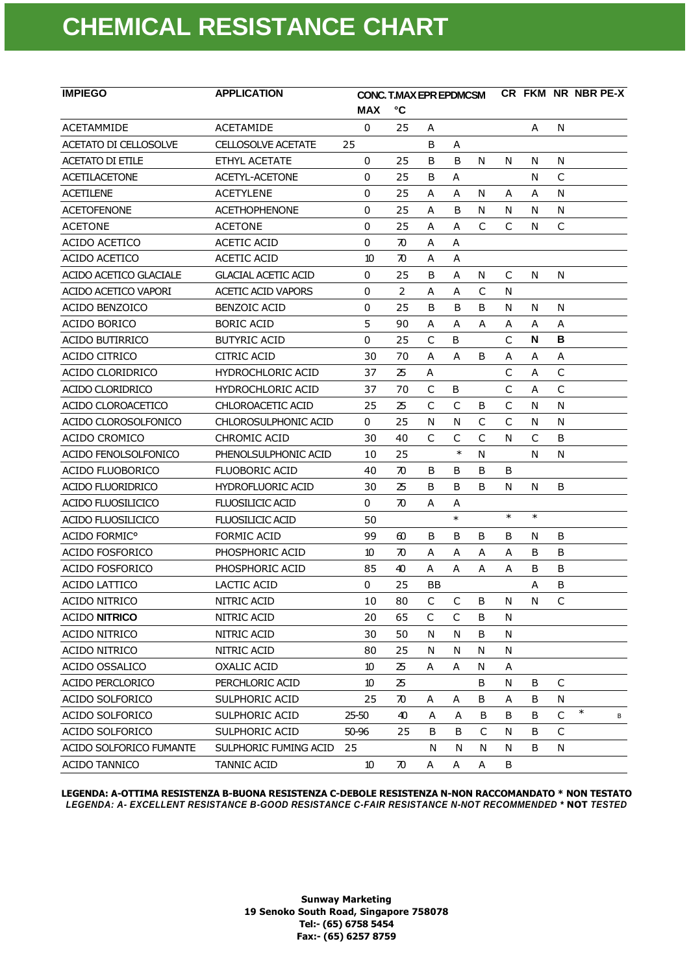| <b>IMPIEGO</b>            | <b>APPLICATION</b>         | <b>CONC. T.MAX EPR EPDMCSM</b> |                    |    |              |              |              |        |              | CR FKM NR NBR PE-X |
|---------------------------|----------------------------|--------------------------------|--------------------|----|--------------|--------------|--------------|--------|--------------|--------------------|
|                           |                            | <b>MAX</b>                     | °С                 |    |              |              |              |        |              |                    |
| <b>ACETAMMIDE</b>         | <b>ACETAMIDE</b>           | 0                              | 25                 | Α  |              |              |              | A      | N            |                    |
| ACETATO DI CELLOSOLVE     | <b>CELLOSOLVE ACETATE</b>  | 25                             |                    | B  | A            |              |              |        |              |                    |
| <b>ACETATO DI ETILE</b>   | ETHYL ACETATE              | 0                              | 25                 | B  | B            | N            | N            | N      | N            |                    |
| <b>ACETILACETONE</b>      | ACETYL-ACETONE             | 0                              | 25                 | B  | Α            |              |              | N      | C            |                    |
| <b>ACETILENE</b>          | <b>ACETYLENE</b>           | $\mathbf 0$                    | 25                 | A  | A            | N            | A            | A      | N            |                    |
| <b>ACETOFENONE</b>        | <b>ACETHOPHENONE</b>       | 0                              | 25                 | A  | B            | N            | N            | N      | N            |                    |
| <b>ACETONE</b>            | <b>ACETONE</b>             | $\mathbf 0$                    | 25                 | A  | A            | C            | $\mathsf{C}$ | N      | $\mathsf{C}$ |                    |
| ACIDO ACETICO             | <b>ACETIC ACID</b>         | 0                              | 70                 | A  | A            |              |              |        |              |                    |
| ACIDO ACETICO             | <b>ACETIC ACID</b>         | 10                             | 70                 | A  | Α            |              |              |        |              |                    |
| ACIDO ACETICO GLACIALE    | <b>GLACIAL ACETIC ACID</b> | 0                              | 25                 | B  | A            | N            | C            | N      | N            |                    |
| ACIDO ACETICO VAPORI      | <b>ACETIC ACID VAPORS</b>  | 0                              | 2                  | A  | Α            | C            | N            |        |              |                    |
| ACIDO BENZOICO            | <b>BENZOIC ACID</b>        | 0                              | 25                 | B  | B            | B            | N            | N      | N            |                    |
| ACIDO BORICO              | <b>BORIC ACID</b>          | 5                              | 90                 | A  | A            | A            | Α            | Α      | Α            |                    |
| <b>ACIDO BUTIRRICO</b>    | <b>BUTYRIC ACID</b>        | $\mathbf 0$                    | 25                 | C  | B            |              | C            | N      | B            |                    |
| ACIDO CITRICO             | CITRIC ACID                | 30                             | 70                 | A  | A            | B            | A            | Α      | A            |                    |
| ACIDO CLORIDRICO          | <b>HYDROCHLORIC ACID</b>   | 37                             | 25                 | Α  |              |              | C            | A      | $\mathsf{C}$ |                    |
| ACIDO CLORIDRICO          | <b>HYDROCHLORIC ACID</b>   | 37                             | 70                 | C  | B            |              | C            | Α      | $\mathsf{C}$ |                    |
| ACIDO CLOROACETICO        | CHLOROACETIC ACID          | 25                             | 25                 | C  | C            | B            | C            | N      | N            |                    |
| ACIDO CLOROSOLFONICO      | CHLOROSULPHONIC ACID       | 0                              | 25                 | N  | N            | $\mathsf{C}$ | $\mathsf{C}$ | N      | N            |                    |
| ACIDO CROMICO             | <b>CHROMIC ACID</b>        | 30                             | 40                 | C  | C            | C            | N            | C      | B            |                    |
| ACIDO FENOLSOLFONICO      | PHENOLSULPHONIC ACID       | 10                             | 25                 |    | $\ast$       | N            |              | N      | N            |                    |
| ACIDO FLUOBORICO          | <b>FLUOBORIC ACID</b>      | 40                             | $\pi$              | B  | B            | B            | B            |        |              |                    |
| <b>ACIDO FLUORIDRICO</b>  | <b>HYDROFLUORIC ACID</b>   | 30                             | 25                 | B  | B            | B            | N            | N      | B            |                    |
| <b>ACIDO FLUOSILICICO</b> | <b>FLUOSILICIC ACID</b>    | 0                              | $\boldsymbol{\pi}$ | A  | A            |              |              |        |              |                    |
| ACIDO FLUOSILICICO        | <b>FLUOSILICIC ACID</b>    | 50                             |                    |    | $\ast$       |              | $\ast$       | $\ast$ |              |                    |
| ACIDO FORMIC <sup>o</sup> | <b>FORMIC ACID</b>         | 99                             | 60                 | B  | B            | B            | B            | N      | B            |                    |
| ACIDO FOSFORICO           | PHOSPHORIC ACID            | 10                             | $\boldsymbol{\pi}$ | A  | A            | A            | A            | B      | B            |                    |
| <b>ACIDO FOSFORICO</b>    | PHOSPHORIC ACID            | 85                             | 40                 | A  | A            | A            | A            | B      | B            |                    |
| <b>ACIDO LATTICO</b>      | LACTIC ACID                | 0                              | 25                 | ΒB |              |              |              | Α      | B            |                    |
| ACIDO NITRICO             | NITRIC ACID                | 10                             | 80                 | C  | $\mathsf{C}$ | В            | N            | N      | C            |                    |
| <b>ACIDO NITRICO</b>      | NITRIC ACID                | 20                             | 65                 | C  | C            | B            | N            |        |              |                    |
| <b>ACIDO NITRICO</b>      | NITRIC ACID                | 30                             | 50                 | N  | N            | B            | N            |        |              |                    |
| ACIDO NITRICO             | NITRIC ACID                | 80                             | 25                 | N  | N            | N            | N            |        |              |                    |
| ACIDO OSSALICO            | <b>OXALIC ACID</b>         | 10                             | 25                 | Α  | A            | N            | Α            |        |              |                    |
| ACIDO PERCLORICO          | PERCHLORIC ACID            | 10                             | 25                 |    |              | B            | N            | B      | C            |                    |
| ACIDO SOLFORICO           | SULPHORIC ACID             | 25                             | 70                 | Α  | Α            | В            | Α            | B      | N            |                    |
| ACIDO SOLFORICO           | SULPHORIC ACID             | $25 - 50$                      | 40                 | A  | A            | В            | В            | B      | C            | $\ast$<br>В        |
| ACIDO SOLFORICO           | SULPHORIC ACID             | 50-96                          | 25                 | B  | B            | $\mathsf C$  | N            | B      | $\mathsf C$  |                    |
| ACIDO SOLFORICO FUMANTE   | SULPHORIC FUMING ACID      | 25                             |                    | N  | N            | N            | N            | B      | N            |                    |
| <b>ACIDO TANNICO</b>      | <b>TANNIC ACID</b>         | 10                             | 70                 | A  | Α            | Α            | B            |        |              |                    |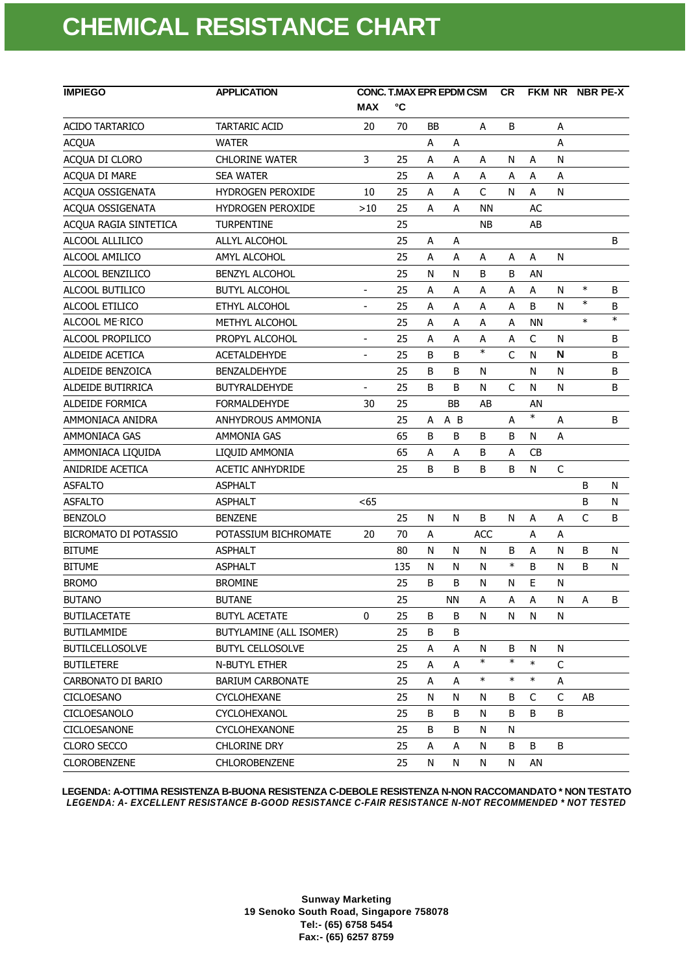| <b>IMPIEGO</b>               | <b>APPLICATION</b>       | <b>CONC. T.MAX EPR EPDM CSM</b> | <b>CR</b> |    |           | FKM NR NBR PE-X |              |                           |              |              |        |
|------------------------------|--------------------------|---------------------------------|-----------|----|-----------|-----------------|--------------|---------------------------|--------------|--------------|--------|
|                              |                          | <b>MAX</b>                      | °C        |    |           |                 |              |                           |              |              |        |
| <b>ACIDO TARTARICO</b>       | <b>TARTARIC ACID</b>     | 20                              | 70        | ВB |           | A               | B            |                           | Α            |              |        |
| <b>ACQUA</b>                 | <b>WATER</b>             |                                 |           | A  | A         |                 |              |                           | A            |              |        |
| ACQUA DI CLORO               | <b>CHLORINE WATER</b>    | 3                               | 25        | A  | A         | А               | N            | Α                         | N            |              |        |
| ACQUA DI MARE                | <b>SEA WATER</b>         |                                 | 25        | A  | Α         | А               | А            | A                         | А            |              |        |
| ACQUA OSSIGENATA             | <b>HYDROGEN PEROXIDE</b> | 10                              | 25        | A  | Α         | $\mathsf{C}$    | N            | A                         | N            |              |        |
| ACQUA OSSIGENATA             | HYDROGEN PEROXIDE        | >10                             | 25        | A  | A         | ΝN              |              | AC                        |              |              |        |
| ACQUA RAGIA SINTETICA        | <b>TURPENTINE</b>        |                                 | 25        |    |           | <b>NB</b>       |              | AB                        |              |              |        |
| ALCOOL ALLILICO              | ALLYL ALCOHOL            |                                 | 25        | A  | A         |                 |              |                           |              |              | B      |
| ALCOOL AMILICO               | AMYL ALCOHOL             |                                 | 25        | Α  | А         | А               | А            | Α                         | N            |              |        |
| ALCOOL BENZILICO             | BENZYL ALCOHOL           |                                 | 25        | N  | N         | B               | B            | AN                        |              |              |        |
| ALCOOL BUTILICO              | <b>BUTYL ALCOHOL</b>     | $\overline{\phantom{a}}$        | 25        | A  | Α         | A               | А            | Α                         | N            | $\ast$       | В      |
| ALCOOL ETILICO               | ETHYL ALCOHOL            | $\qquad \qquad \blacksquare$    | 25        | Α  | Α         | A               | A            | B                         | N            | $\ast$       | В      |
| ALCOOL ME-RICO               | METHYL ALCOHOL           |                                 | 25        | A  | A         | Α               | A            | <b>NN</b>                 |              | $\ast$       | $\ast$ |
| ALCOOL PROPILICO             | PROPYL ALCOHOL           | $\qquad \qquad \blacksquare$    | 25        | A  | Α         | А               | А            | C                         | N            |              | B      |
| ALDEIDE ACETICA              | <b>ACETALDEHYDE</b>      | $\overline{\phantom{a}}$        | 25        | B  | B         | $\ast$          | $\mathsf{C}$ | N                         | N            |              | B      |
| ALDEIDE BENZOICA             | <b>BENZALDEHYDE</b>      |                                 | 25        | B  | B         | N               |              | N                         | N            |              | B      |
| ALDEIDE BUTIRRICA            | <b>BUTYRALDEHYDE</b>     | $\overline{\phantom{m}}$        | 25        | B  | B         | N               | C            | N                         | N            |              | B      |
| <b>ALDEIDE FORMICA</b>       | <b>FORMALDEHYDE</b>      | 30                              | 25        |    | <b>BB</b> | AB              |              | AN                        |              |              |        |
| AMMONIACA ANIDRA             | <b>ANHYDROUS AMMONIA</b> |                                 | 25        | A  | A B       |                 | A            | $\ast$                    | Α            |              | B      |
| AMMONIACA GAS                | AMMONIA GAS              |                                 | 65        | B  | В         | В               | B            | N                         | A            |              |        |
| AMMONIACA LIQUIDA            | LIQUID AMMONIA           |                                 | 65        | A  | Α         | В               | A            | СB                        |              |              |        |
| ANIDRIDE ACETICA             | <b>ACETIC ANHYDRIDE</b>  |                                 | 25        | B  | B         | B               | B            | N                         | $\mathsf{C}$ |              |        |
| <b>ASFALTO</b>               | <b>ASPHALT</b>           |                                 |           |    |           |                 |              |                           |              | B            | N      |
| <b>ASFALTO</b>               | <b>ASPHALT</b>           | <65                             |           |    |           |                 |              |                           |              | B            | N      |
| <b>BENZOLO</b>               | <b>BENZENE</b>           |                                 | 25        | N  | N         | B               | N            | A                         | A            | $\mathsf{C}$ | B      |
| <b>BICROMATO DI POTASSIO</b> | POTASSIUM BICHROMATE     | 20                              | 70        | A  |           | <b>ACC</b>      |              | Α                         | A            |              |        |
| <b>BITUME</b>                | <b>ASPHALT</b>           |                                 | 80        | N  | N         | N               | B            | $\boldsymbol{\mathsf{A}}$ | N            | B            | N      |
| <b>BITUME</b>                | <b>ASPHALT</b>           |                                 | 135       | N  | N         | N               | $\ast$       | B                         | N            | B            | N      |
| <b>BROMO</b>                 | <b>BROMINE</b>           |                                 | 25        | B  | B         | N               | N            | Ε                         | N            |              |        |
| <b>BUTANO</b>                | <b>BUTANE</b>            |                                 | 25        |    | <b>NN</b> | А               | Α            | A                         | N            | A            | B      |
| <b>BUTILACETATE</b>          | <b>BUTYL ACETATE</b>     | 0                               | 25        | B  | В         | N               | N            | N                         | N            |              |        |
| <b>BUTILAMMIDE</b>           | BUTYLAMINE (ALL ISOMER)  |                                 | 25        | В  | В         |                 |              |                           |              |              |        |
| <b>BUTILCELLOSOLVE</b>       | <b>BUTYL CELLOSOLVE</b>  |                                 | 25        | Α  | А         | N               | B            | N                         | N            |              |        |
| <b>BUTILETERE</b>            | N-BUTYL ETHER            |                                 | 25        | A  | Α         | $\ast$          | $\ast$       | $\ast$                    | C            |              |        |
| CARBONATO DI BARIO           | <b>BARIUM CARBONATE</b>  |                                 | 25        | А  | Α         | $\ast$          | $\ast$       | $\ast$                    | Α            |              |        |
| <b>CICLOESANO</b>            | <b>CYCLOHEXANE</b>       |                                 | 25        | N  | N         | N               | B            | C                         | C            | AB           |        |
| CICLOESANOLO                 | <b>CYCLOHEXANOL</b>      |                                 | 25        | В  | В         | N               | B            | B                         | B            |              |        |
| CICLOESANONE                 | <b>CYCLOHEXANONE</b>     |                                 | 25        | B  | В         | N               | N            |                           |              |              |        |
| <b>CLORO SECCO</b>           | CHLORINE DRY             |                                 | 25        | Α  | A         | N               | B            | B                         | B            |              |        |
| <b>CLOROBENZENE</b>          | <b>CHLOROBENZENE</b>     |                                 | 25        | N  | N         | N               | N            | AN                        |              |              |        |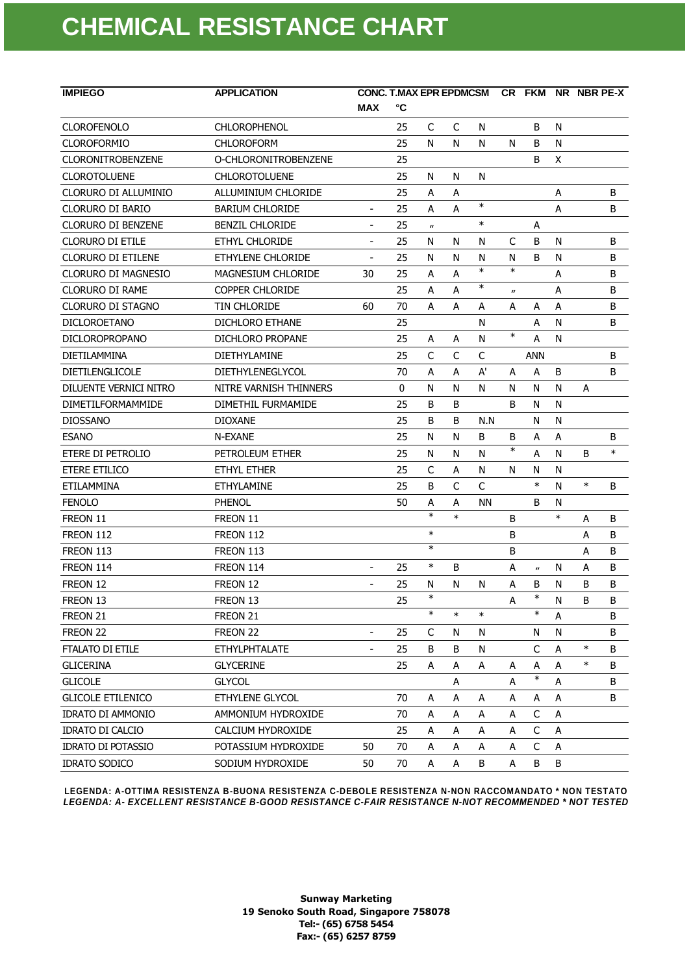| <b>IMPIEGO</b>            | <b>APPLICATION</b>      |                          | <b>CONC. T.MAX EPR EPDMCSM</b> |                             | CR FKM NR NBR PE-X |        |                           |                           |           |        |         |
|---------------------------|-------------------------|--------------------------|--------------------------------|-----------------------------|--------------------|--------|---------------------------|---------------------------|-----------|--------|---------|
|                           |                         | <b>MAX</b>               | °C                             |                             |                    |        |                           |                           |           |        |         |
| <b>CLOROFENOLO</b>        | <b>CHLOROPHENOL</b>     |                          | 25                             | C                           | C                  | N      |                           | B                         | N         |        |         |
| <b>CLOROFORMIO</b>        | <b>CHLOROFORM</b>       |                          | 25                             | N                           | N                  | N      | N                         | B                         | N         |        |         |
| <b>CLORONITROBENZENE</b>  | O-CHLORONITROBENZENE    |                          | 25                             |                             |                    |        |                           | B                         | X         |        |         |
| <b>CLOROTOLUENE</b>       | <b>CHLOROTOLUENE</b>    |                          | 25                             | N                           | N                  | N      |                           |                           |           |        |         |
| CLORURO DI ALLUMINIO      | ALLUMINIUM CHLORIDE     |                          | 25                             | A                           | A                  |        |                           |                           | A         |        | B       |
| CLORURO DI BARIO          | <b>BARIUM CHLORIDE</b>  | $\overline{\phantom{a}}$ | 25                             | A                           | A                  | $\ast$ |                           |                           | A         |        | B       |
| <b>CLORURO DI BENZENE</b> | <b>BENZIL CHLORIDE</b>  | $\blacksquare$           | 25                             | $\boldsymbol{\prime\prime}$ |                    | $\ast$ |                           | А                         |           |        |         |
| <b>CLORURO DI ETILE</b>   | ETHYL CHLORIDE          |                          | 25                             | N                           | N                  | N      | C                         | B                         | N         |        | B       |
| <b>CLORURO DI ETILENE</b> | ETHYLENE CHLORIDE       | $\overline{\phantom{a}}$ | 25                             | N                           | N                  | N      | N                         | B                         | N         |        | B       |
| CLORURO DI MAGNESIO       | MAGNESIUM CHLORIDE      | 30                       | 25                             | A                           | A                  | $\ast$ | $\ast$                    |                           | A         |        | B       |
| CLORURO DI RAME           | <b>COPPER CHLORIDE</b>  |                          | 25                             | A                           | A                  | $\ast$ | $\boldsymbol{\mathsf{u}}$ |                           | A         |        | B       |
| CLORURO DI STAGNO         | TIN CHLORIDE            | 60                       | 70                             | A                           | A                  | А      | А                         | A                         | A         |        | B       |
| <b>DICLOROETANO</b>       | DICHLORO ETHANE         |                          | 25                             |                             |                    | N      |                           | А                         | N         |        | B       |
| <b>DICLOROPROPANO</b>     | DICHLORO PROPANE        |                          | 25                             | A                           | A                  | N      | $\ast$                    | A                         | N         |        |         |
| DIETILAMMINA              | <b>DIETHYLAMINE</b>     |                          | 25                             | C                           | C                  | C      |                           | <b>ANN</b>                |           |        | B       |
| <b>DIETILENGLICOLE</b>    | <b>DIETHYLENEGLYCOL</b> |                          | 70                             | A                           | A                  | A'     | A                         | A                         | B         |        | B       |
| DILUENTE VERNICI NITRO    | NITRE VARNISH THINNERS  |                          | $\mathbf 0$                    | N                           | N                  | N      | N                         | N                         | N         | A      |         |
| <b>DIMETILFORMAMMIDE</b>  | DIMETHIL FURMAMIDE      |                          | 25                             | B                           | B                  |        | B                         | N                         | N         |        |         |
| <b>DIOSSANO</b>           | <b>DIOXANE</b>          |                          | 25                             | B                           | B                  | N.N    |                           | N                         | N         |        |         |
| <b>ESANO</b>              | N-EXANE                 |                          | 25                             | N                           | N                  | B      | В                         | А                         | Α         |        | B       |
| ETERE DI PETROLIO         | PETROLEUM ETHER         |                          | 25                             | N                           | N                  | N      | $\ast$                    | A                         | N         | B      | $\ast$  |
| <b>ETERE ETILICO</b>      | ETHYL ETHER             |                          | 25                             | C                           | A                  | N      | N                         | N                         | Ν         |        |         |
| ETILAMMINA                | <b>ETHYLAMINE</b>       |                          | 25                             | B                           | $\mathsf{C}$       | C      |                           | $\ast$                    | N         | $\ast$ | B       |
| <b>FENOLO</b>             | PHENOL                  |                          | 50                             | Α                           | А                  | ΝN     |                           | B                         | N         |        |         |
| FREON 11                  | FREON 11                |                          |                                | $\ast$                      | $\ast$             |        | В                         |                           | $\ast$    | A      | B       |
| FREON 112                 | FREON 112               |                          |                                | $\ast$                      |                    |        | В                         |                           |           | А      | B       |
| FREON 113                 | FREON 113               |                          |                                | $\ast$                      |                    |        | B                         |                           |           | A      | B       |
| FREON 114                 | FREON 114               | $\overline{a}$           | 25                             | $\ast$                      | B                  |        | А                         | $\boldsymbol{\mathsf{u}}$ | N         | A      | B       |
| FREON 12                  | FREON 12                | $\overline{\phantom{a}}$ | 25                             | N                           | N                  | N      | А                         | B                         | Ν         | B      | B       |
| FREON 13                  | FREON 13                |                          | 25                             | $\ast$                      |                    |        | A                         | $\ast$                    | ${\sf N}$ | B      | $\sf B$ |
| FREON 21                  | FREON 21                |                          |                                | $\ast$                      | $\ast$             | $\ast$ |                           | $\ast$                    | A         |        | B       |
| FREON 22                  | FREON 22                | $\overline{\phantom{a}}$ | 25                             | C                           | N                  | N      |                           | N                         | N         |        | B       |
| <b>FTALATO DI ETILE</b>   | <b>ETHYLPHTALATE</b>    |                          | 25                             | B                           | B                  | N      |                           | C                         | A         | $\ast$ | B       |
| <b>GLICERINA</b>          | <b>GLYCERINE</b>        |                          | 25                             | Α                           | А                  | Α      | А                         | Α                         | Α         | $\ast$ | B       |
| <b>GLICOLE</b>            | <b>GLYCOL</b>           |                          |                                |                             | A                  |        | А                         | $\ast$                    | Α         |        | B       |
| <b>GLICOLE ETILENICO</b>  | ETHYLENE GLYCOL         |                          | 70                             | А                           | Α                  | A      | А                         | A                         | А         |        | B       |
| <b>IDRATO DI AMMONIO</b>  | AMMONIUM HYDROXIDE      |                          | 70                             | А                           | Α                  | Α      | А                         | $\mathsf C$               | A         |        |         |
| <b>IDRATO DI CALCIO</b>   | CALCIUM HYDROXIDE       |                          | 25                             | А                           | А                  | Α      | А                         | C                         | Α         |        |         |
| <b>IDRATO DI POTASSIO</b> | POTASSIUM HYDROXIDE     | 50                       | 70                             | Α                           | Α                  | Α      | А                         | C                         | A         |        |         |
| <b>IDRATO SODICO</b>      | SODIUM HYDROXIDE        | 50                       | 70                             | А                           | А                  | B      | А                         | B                         | B         |        |         |